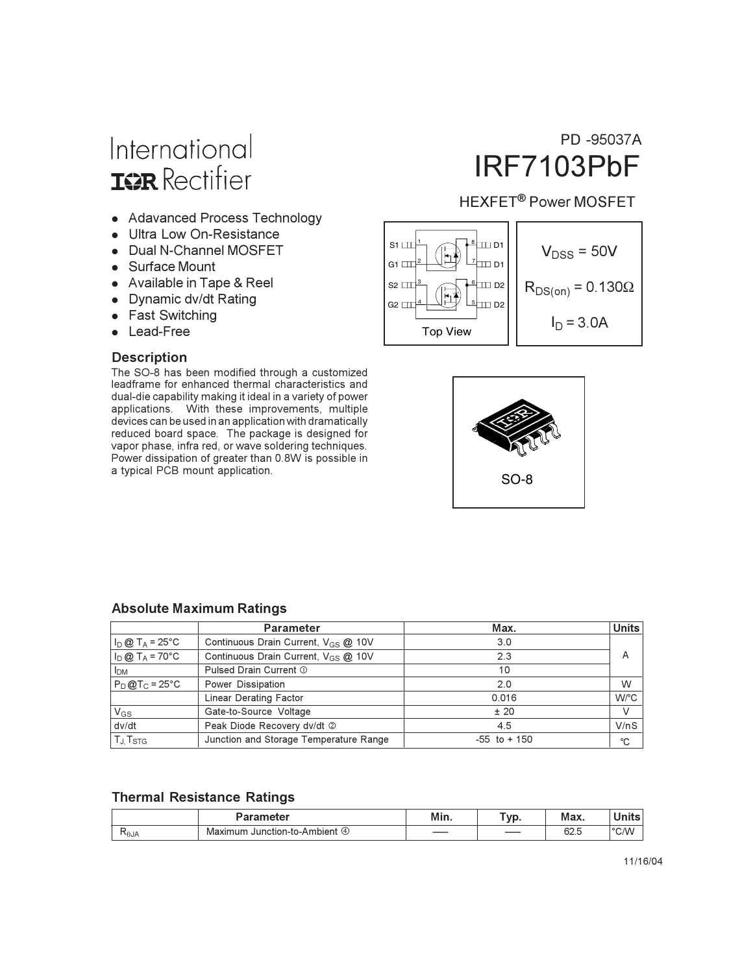# International **ISR** Rectifier

- Adavanced Process Technology
- Ultra Low On-Resistance
- Dual N-Channel MOSFET
- Surface Mount
- Available in Tape & Reel
- Dynamic dv/dt Rating
- Fast Switching
- Lead-Free

#### **Description**

The SO-8 has been modified through a customized leadframe for enhanced thermal characteristics and dual-die capability making it ideal in a variety of power applications. With these improvements, multiple devices can be used in an application with dramatically reduced board space. The package is designed for vapor phase, infra red, or wave soldering techniques. Power dissipation of greater than 0.8W is possible in a typical PCB mount application.

## PD -95037A **IRF7103PbF**

#### **HEXFET<sup>®</sup> Power MOSFET**





#### **Absolute Maximum Ratings**

|                           | <b>Parameter</b>                                | Max.            | Units |
|---------------------------|-------------------------------------------------|-----------------|-------|
| $I_D @ T_A = 25^\circ C$  | Continuous Drain Current, V <sub>GS</sub> @ 10V | 3.0             |       |
| $I_D @ T_A = 70^{\circ}C$ | Continuous Drain Current, V <sub>GS</sub> @ 10V | 2.3             | A     |
| <b>I<sub>DM</sub></b>     | Pulsed Drain Current 1                          | 10              |       |
| $P_D@T_C = 25°C$          | Power Dissipation                               | 2.0             | W     |
|                           | Linear Derating Factor                          | 0.016           | W/°C  |
| $V_{GS}$                  | Gate-to-Source Voltage                          | ± 20            | V     |
| dv/dt                     | Peak Diode Recovery dv/dt 2                     | 4.5             | V/nS  |
| $T_{J}$ , $T_{STG}$       | Junction and Storage Temperature Range          | $-55$ to $+150$ | °C    |

#### **Thermal Resistance Ratings**

|      | aramatar                                | Min. | <b>A</b> 550<br>v M | Max.         | . .<br>- - -    |
|------|-----------------------------------------|------|---------------------|--------------|-----------------|
| Alθ∕ | Ambient<br>Maximur<br>unction-t<br>$-4$ | ____ |                     | co E<br>∪∠.⊍ | $^{\circ}$ C.AN |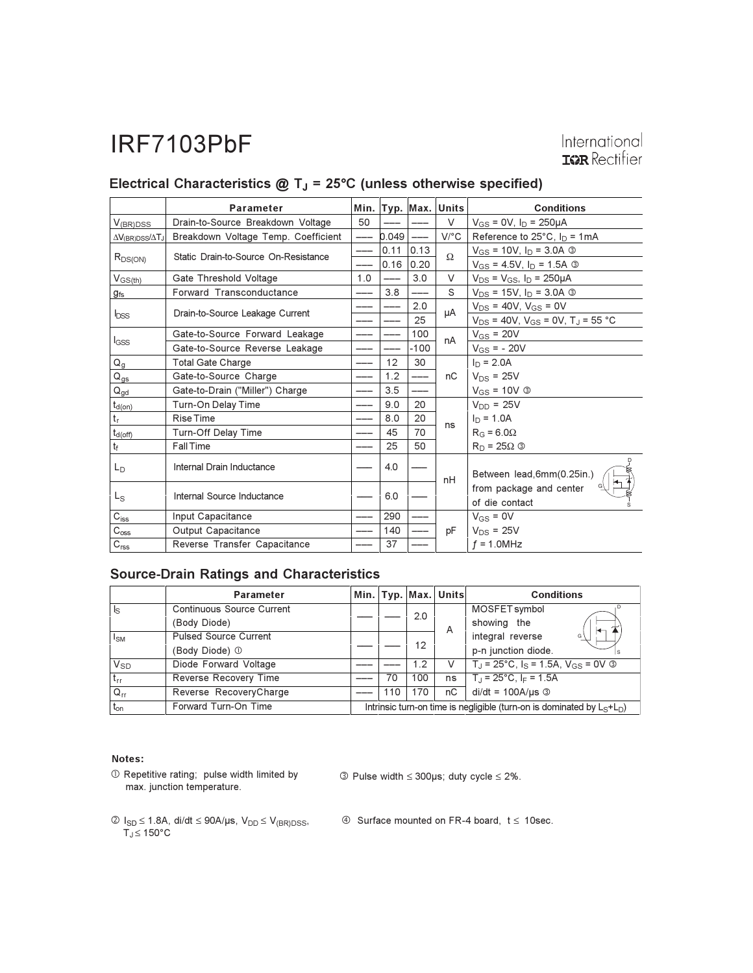|                                 | <b>Parameter</b>                     | Min. |       | Typ. Max.   | <b>Units</b>                        | <b>Conditions</b>                                     |
|---------------------------------|--------------------------------------|------|-------|-------------|-------------------------------------|-------------------------------------------------------|
| $V_{(BR)DSS}$                   | Drain-to-Source Breakdown Voltage    | 50   |       |             | V                                   | $V_{GS} = 0V$ , $I_D = 250 \mu A$                     |
| $\Delta V_{(BR)DSS}/\Delta T_J$ | Breakdown Voltage Temp. Coefficient  |      | 0.049 |             | $V$ <sup><math>\circ</math></sup> C | Reference to $25^{\circ}$ C, $I_D = 1mA$              |
| $R_{DS(ON)}$                    | Static Drain-to-Source On-Resistance |      |       | $0.11$ 0.13 | Ω                                   | $V_{GS}$ = 10V, $I_D$ = 3.0A ③                        |
|                                 |                                      |      | 0.16  | 0.20        |                                     | $V_{GS}$ = 4.5V, $I_D$ = 1.5A $\circledcirc$          |
| $V_{GS(th)}$                    | Gate Threshold Voltage               | 1.0  |       | 3.0         | V                                   | $V_{DS} = V_{GS}$ , $I_D = 250 \mu A$                 |
| $g_{fs}$                        | Forward Transconductance             |      | 3.8   |             | S                                   | $V_{DS}$ = 15V, $I_D$ = 3.0A ③                        |
|                                 |                                      |      |       | 2.0         |                                     | $V_{DS}$ = 40V, $V_{GS}$ = 0V                         |
| <b>bss</b>                      | Drain-to-Source Leakage Current      |      |       | 25          | μA                                  | $V_{DS}$ = 40V, $V_{GS}$ = 0V, T <sub>J</sub> = 55 °C |
|                                 | Gate-to-Source Forward Leakage       |      |       | 100         | nA                                  | $V_{GS}$ = 20V                                        |
| $I_{GSS}$                       | Gate-to-Source Reverse Leakage       |      |       | $-100$      |                                     | $V_{GS} = -20V$                                       |
| $Q_g$                           | <b>Total Gate Charge</b>             | ---  | 12    | 30          |                                     | $I_D = 2.0A$                                          |
| $\mathsf{Q}_{\mathsf{gs}}$      | Gate-to-Source Charge                |      | 1.2   |             | nC                                  | $V_{DS}$ = 25V                                        |
| $\mathsf{Q}_{\mathsf{gd}}$      | Gate-to-Drain ("Miller") Charge      |      | 3.5   |             |                                     | $V_{GS} = 10V$ 3                                      |
| $t_{d(on)}$                     | Turn-On Delay Time                   |      | 9.0   | 20          |                                     | $V_{DD} = 25V$                                        |
| $\mathfrak{t}_\mathfrak{r}$     | Rise Time                            |      | 8.0   | 20          |                                     | $I_D = 1.0A$                                          |
| $t_{d(off)}$                    | Turn-Off Delay Time                  |      | 45    | 70          | ns                                  | $R_G = 6.0\Omega$                                     |
| $t_f$                           | <b>Fall Time</b>                     |      | 25    | 50          |                                     | $R_D = 25\Omega$ 3                                    |
| $L_{\rm D}$                     | Internal Drain Inductance            |      | 4.0   |             | nH                                  | Between lead, 6mm (0.25in.)                           |
| $L_S$                           | Internal Source Inductance           |      | 6.0   |             |                                     | from package and center<br>of die contact             |
| $C_{iss}$                       | Input Capacitance                    |      | 290   |             |                                     | $V_{GS} = 0V$                                         |
| $\mathrm{C}_{\mathrm{oss}}$     | Output Capacitance                   |      | 140   |             | pF                                  | $V_{DS}$ = 25V                                        |
| $\mathrm{C_{rss}}$              | Reverse Transfer Capacitance         |      | 37    |             |                                     | $f = 1.0$ MHz                                         |

### Electrical Characteristics  $@T_J = 25°C$  (unless otherwise specified)

#### **Source-Drain Ratings and Characteristics**

|                       | <b>Parameter</b>                 |                                                                             |     |     | Min. Typ. Max. Units | <b>Conditions</b>                                    |                     |  |  |  |  |  |  |  |  |                        |
|-----------------------|----------------------------------|-----------------------------------------------------------------------------|-----|-----|----------------------|------------------------------------------------------|---------------------|--|--|--|--|--|--|--|--|------------------------|
| $\mathsf{ls}$         | <b>Continuous Source Current</b> |                                                                             |     |     |                      | MOSFET symbol                                        |                     |  |  |  |  |  |  |  |  |                        |
|                       | (Body Diode)                     |                                                                             | 2.0 | A   | showing the<br>╄     |                                                      |                     |  |  |  |  |  |  |  |  |                        |
| $I_{SM}$              | <b>Pulsed Source Current</b>     |                                                                             |     | 12  |                      |                                                      |                     |  |  |  |  |  |  |  |  | integral reverse<br>G' |
|                       | (Body Diode) 1                   |                                                                             |     |     |                      |                                                      | p-n junction diode. |  |  |  |  |  |  |  |  |                        |
| <b>V<sub>SD</sub></b> | Diode Forward Voltage            |                                                                             |     | 1.2 | V                    | $T_J = 25^{\circ}C$ , $I_S = 1.5A$ , $V_{GS} = 0V$ 3 |                     |  |  |  |  |  |  |  |  |                        |
| $t_{rr}$              | Reverse Recovery Time            |                                                                             | 70  | 100 | ns                   | $T_{\rm J}$ = 25°C, I <sub>F</sub> = 1.5A            |                     |  |  |  |  |  |  |  |  |                        |
| $Q_{rr}$              | Reverse RecoveryCharge           |                                                                             | 110 | 170 | nC                   | $di/dt = 100A/\mu s$ 3                               |                     |  |  |  |  |  |  |  |  |                        |
| $t_{on}$              | Forward Turn-On Time             | Intrinsic turn-on time is negligible (turn-on is dominated by $L_S + L_D$ ) |     |     |                      |                                                      |                     |  |  |  |  |  |  |  |  |                        |

#### Notes:

1 Repetitive rating; pulse width limited by max. junction temperature.

 $\circled{ }$  Pulse width  $\leq$  300µs; duty cycle  $\leq$  2%.

- $\begin{aligned} \textcircled{2}\text{ } I_{SD} &\leq 1.8 \text{A}, \text{ } \text{di/dt} \leq 90 \text{A/}\text{\textmu s}, \text{ } \text{V}_{DD} \leq \text{V}_{\text{(BR)DSS}}, \\ \text{T}_\text{J} &\leq 150^\circ \text{C} \end{aligned}$
- $\circledA$  Surface mounted on FR-4 board,  $t \le 10$ sec.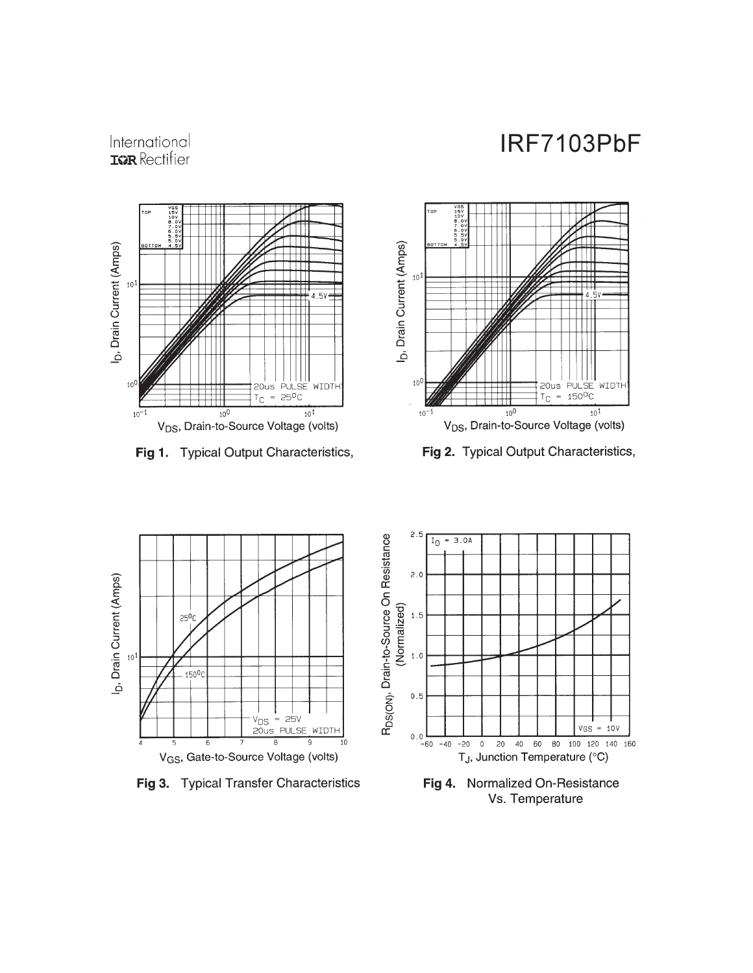## International **IGR** Rectifier



Fig 1. Typical Output Characteristics,



Fig 2. Typical Output Characteristics,



Fig 3. Typical Transfer Characteristics



Fig 4. Normalized On-Resistance Vs. Temperature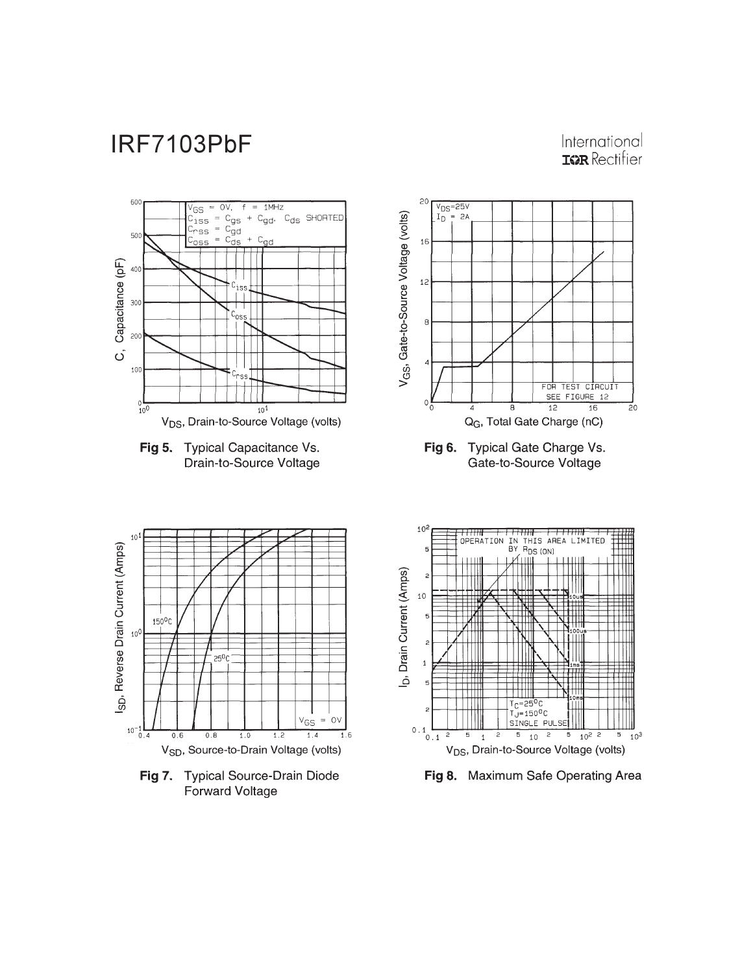### International **IGR** Rectifier





Fig 6. Typical Gate Charge Vs. Gate-to-Source Voltage



Fig 7. Typical Source-Drain Diode Forward Voltage



Fig 8. Maximum Safe Operating Area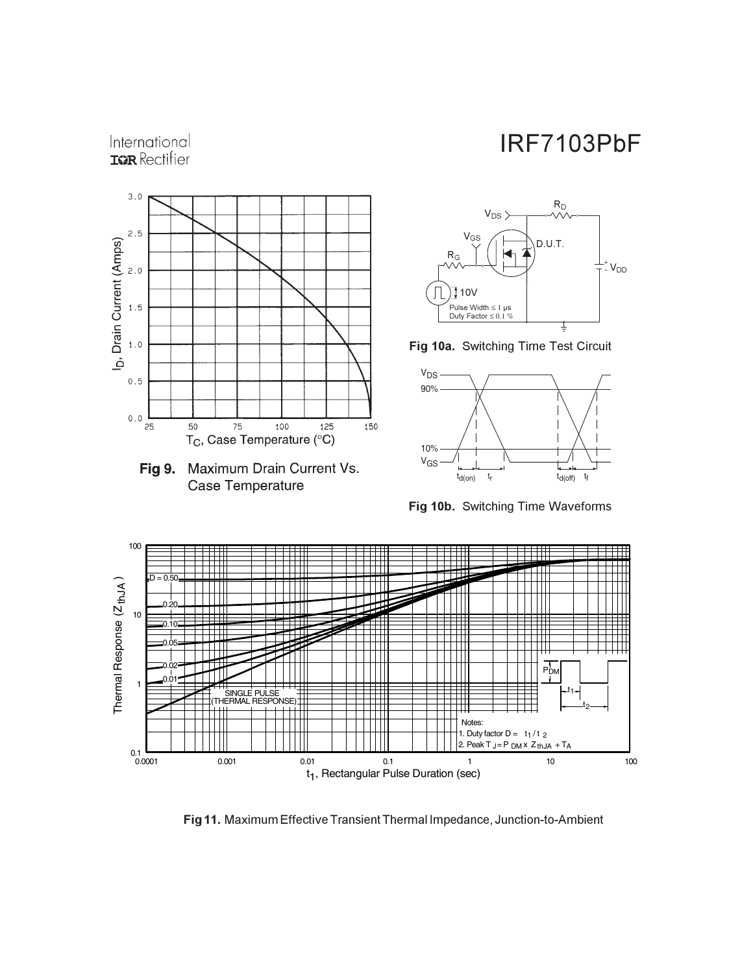

International **IQR** Rectifier





Fig 10a. Switching Time Test Circuit



**Fig 10b.** Switching Time Waveforms



Fig 11. Maximum Effective Transient Thermal Impedance, Junction-to-Ambient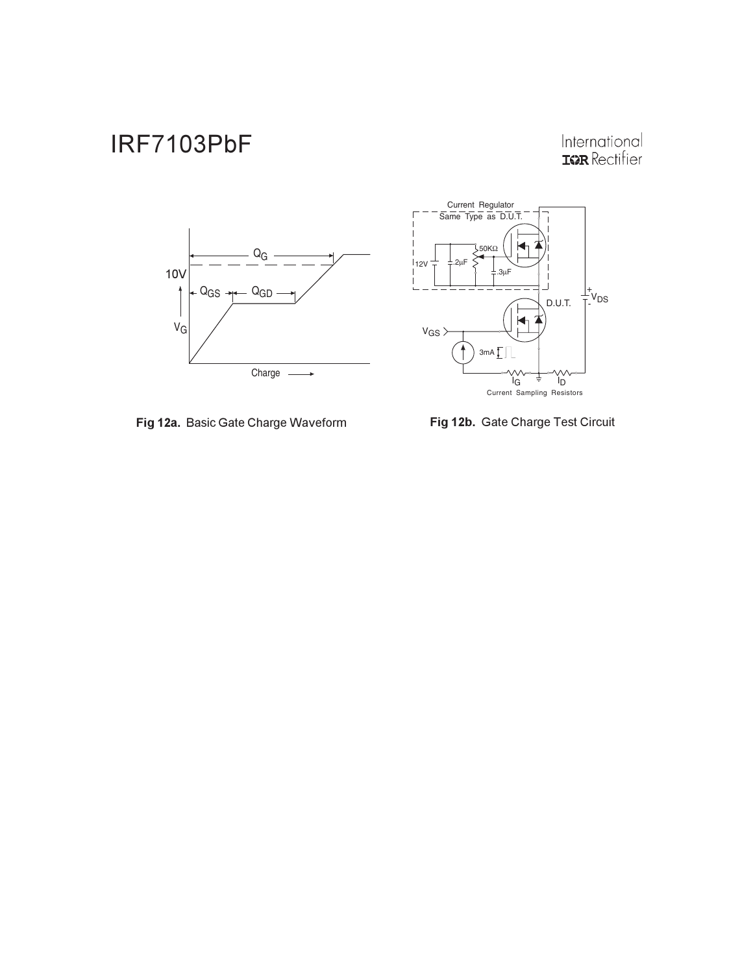# International<br>**IGR** Rectifier





Fig 12a. Basic Gate Charge Waveform

Fig 12b. Gate Charge Test Circuit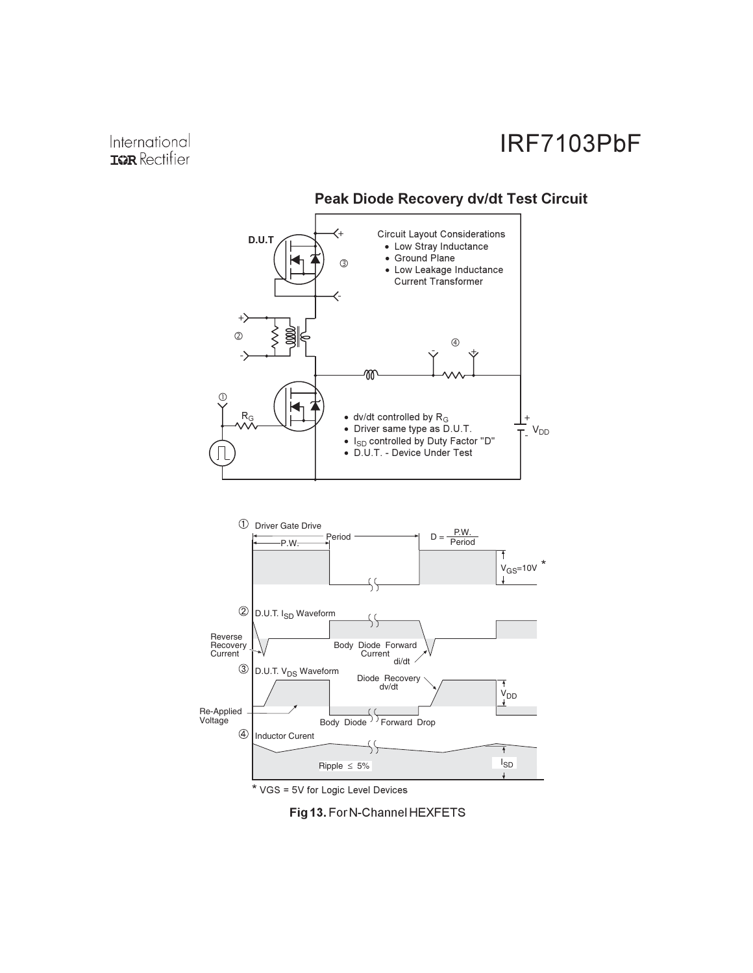





\* VGS = 5V for Logic Level Devices

Fig 13. For N-Channel HEXFETS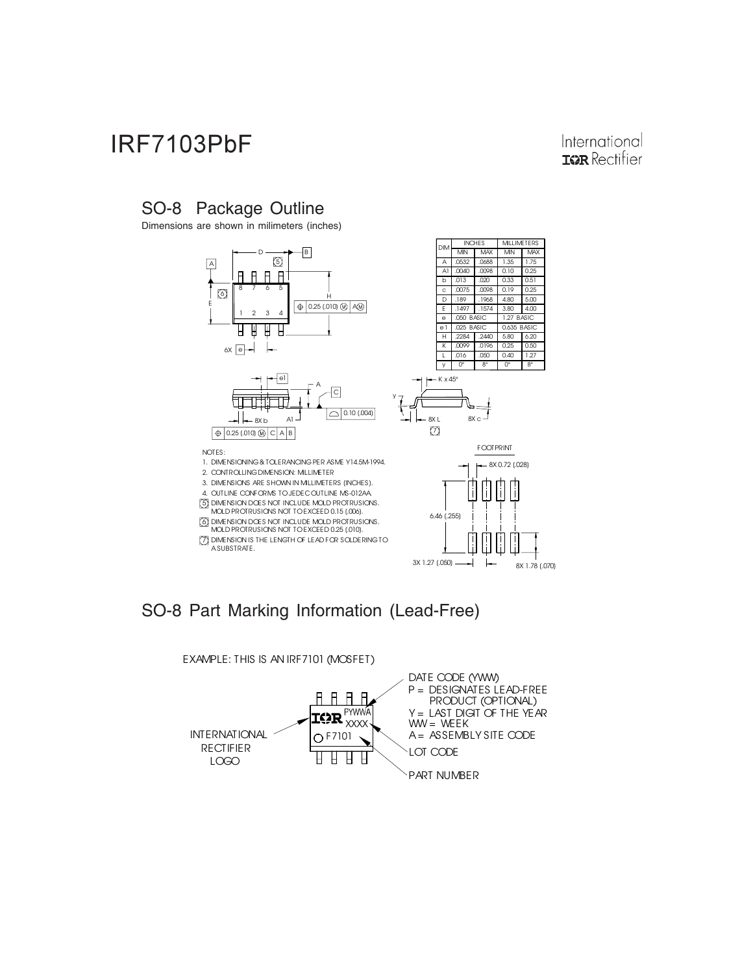#### International **IGR** Rectifier

## SO-8 Package Outline

Dimensions are shown in milimeters (inches)



## SO-8 Part Marking Information (Lead-Free)